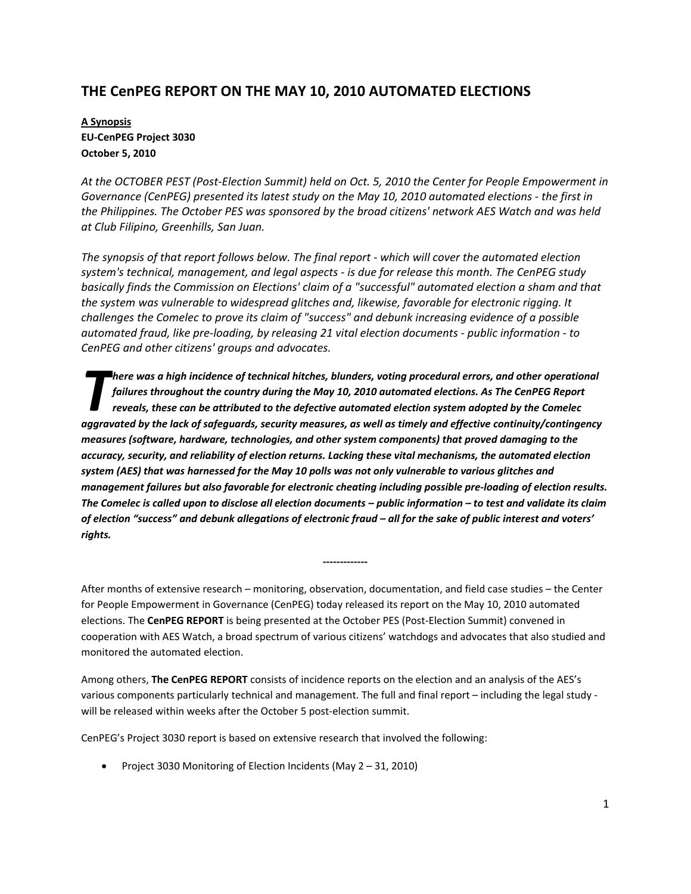# **THE CenPEG REPORT ON THE MAY 10, 2010 AUTOMATED ELECTIONS**

# **A Synopsis EU‐CenPEG Project 3030 October 5, 2010**

At the OCTOBER PEST (Post-Election Summit) held on Oct. 5, 2010 the Center for People Empowerment in *Governance (CenPEG) presented its latest study on the May 10, 2010 automated elections ‐ the first in the Philippines. The October PES was sponsored by the broad citizens' network AES Watch and was held at Club Filipino, Greenhills, San Juan.* 

*The synopsis of that report follows below. The final report ‐ which will cover the automated election system's technical, management, and legal aspects ‐ is due for release this month. The CenPEG study basically finds the Commission on Elections' claim of a "successful" automated election a sham and that the system was vulnerable to widespread glitches and, likewise, favorable for electronic rigging. It challenges the Comelec to prove its claim of "success" and debunk increasing evidence of a possible automated fraud, like pre‐loading, by releasing 21 vital election documents ‐ public information ‐ to CenPEG and other citizens' groups and advocates.*

*here was a high incidence of technical hitches, blunders, voting procedural errors, and other operational failures throughout the country during the May 10, 2010 automated elections. As The CenPEG Report reveals, these can be attributed to the defective automated election system adopted by the Comelec* here was a high incidence of technical hitches, blunders, voting procedural errors, and other operational<br>failures throughout the country during the May 10, 2010 automated elections. As The CenPEG Report<br>reveals, these can *measures (software, hardware, technologies, and other system components) that proved damaging to the accuracy, security, and reliability of election returns. Lacking these vital mechanisms, the automated election* system (AES) that was harnessed for the May 10 polls was not only vulnerable to various glitches and management failures but also favorable for electronic cheating including possible pre-loading of election results. The Comelec is called upon to disclose all election documents - public information - to test and validate its claim of election "success" and debunk allegations of electronic fraud - all for the sake of public interest and voters' *rights.*

After months of extensive research – monitoring, observation, documentation, and field case studies – the Center for People Empowerment in Governance (CenPEG) today released its report on the May 10, 2010 automated elections. The **CenPEG REPORT** is being presented at the October PES (Post‐Election Summit) convened in cooperation with AES Watch, a broad spectrum of various citizens' watchdogs and advocates that also studied and monitored the automated election.

**‐‐‐‐‐‐‐‐‐‐‐‐‐** 

Among others, **The CenPEG REPORT** consists of incidence reports on the election and an analysis of the AES's various components particularly technical and management. The full and final report – including the legal study ‐ will be released within weeks after the October 5 post-election summit.

CenPEG's Project 3030 report is based on extensive research that involved the following:

• Project 3030 Monitoring of Election Incidents (May 2 – 31, 2010)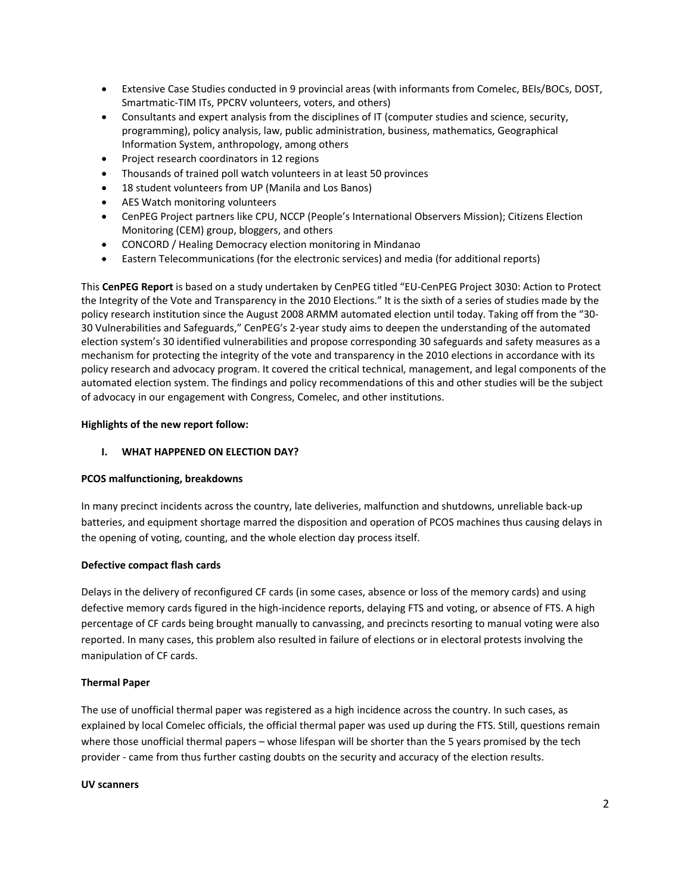- Extensive Case Studies conducted in 9 provincial areas (with informants from Comelec, BEIs/BOCs, DOST, Smartmatic‐TIM ITs, PPCRV volunteers, voters, and others)
- Consultants and expert analysis from the disciplines of IT (computer studies and science, security, programming), policy analysis, law, public administration, business, mathematics, Geographical Information System, anthropology, among others
- Project research coordinators in 12 regions
- Thousands of trained poll watch volunteers in at least 50 provinces
- 18 student volunteers from UP (Manila and Los Banos)
- AES Watch monitoring volunteers
- CenPEG Project partners like CPU, NCCP (People's International Observers Mission); Citizens Election Monitoring (CEM) group, bloggers, and others
- CONCORD / Healing Democracy election monitoring in Mindanao
- Eastern Telecommunications (for the electronic services) and media (for additional reports)

This **CenPEG Report** is based on a study undertaken by CenPEG titled "EU‐CenPEG Project 3030: Action to Protect the Integrity of the Vote and Transparency in the 2010 Elections." It is the sixth of a series of studies made by the policy research institution since the August 2008 ARMM automated election until today. Taking off from the "30‐ 30 Vulnerabilities and Safeguards," CenPEG's 2‐year study aims to deepen the understanding of the automated election system's 30 identified vulnerabilities and propose corresponding 30 safeguards and safety measures as a mechanism for protecting the integrity of the vote and transparency in the 2010 elections in accordance with its policy research and advocacy program. It covered the critical technical, management, and legal components of the automated election system. The findings and policy recommendations of this and other studies will be the subject of advocacy in our engagement with Congress, Comelec, and other institutions.

### **Highlights of the new report follow:**

### **I. WHAT HAPPENED ON ELECTION DAY?**

### **PCOS malfunctioning, breakdowns**

In many precinct incidents across the country, late deliveries, malfunction and shutdowns, unreliable back‐up batteries, and equipment shortage marred the disposition and operation of PCOS machines thus causing delays in the opening of voting, counting, and the whole election day process itself.

### **Defective compact flash cards**

Delays in the delivery of reconfigured CF cards (in some cases, absence or loss of the memory cards) and using defective memory cards figured in the high-incidence reports, delaying FTS and voting, or absence of FTS. A high percentage of CF cards being brought manually to canvassing, and precincts resorting to manual voting were also reported. In many cases, this problem also resulted in failure of elections or in electoral protests involving the manipulation of CF cards.

### **Thermal Paper**

The use of unofficial thermal paper was registered as a high incidence across the country. In such cases, as explained by local Comelec officials, the official thermal paper was used up during the FTS. Still, questions remain where those unofficial thermal papers – whose lifespan will be shorter than the 5 years promised by the tech provider - came from thus further casting doubts on the security and accuracy of the election results.

### **UV scanners**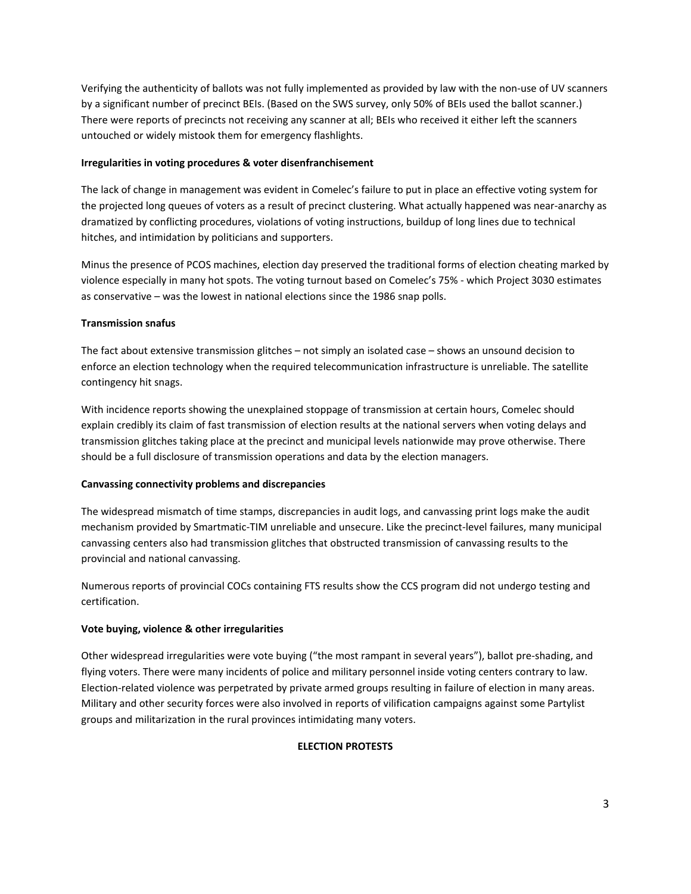Verifying the authenticity of ballots was not fully implemented as provided by law with the non‐use of UV scanners by a significant number of precinct BEIs. (Based on the SWS survey, only 50% of BEIs used the ballot scanner.) There were reports of precincts not receiving any scanner at all; BEIs who received it either left the scanners untouched or widely mistook them for emergency flashlights.

### **Irregularities in voting procedures & voter disenfranchisement**

The lack of change in management was evident in Comelec's failure to put in place an effective voting system for the projected long queues of voters as a result of precinct clustering. What actually happened was near‐anarchy as dramatized by conflicting procedures, violations of voting instructions, buildup of long lines due to technical hitches, and intimidation by politicians and supporters.

Minus the presence of PCOS machines, election day preserved the traditional forms of election cheating marked by violence especially in many hot spots. The voting turnout based on Comelec's 75% ‐ which Project 3030 estimates as conservative – was the lowest in national elections since the 1986 snap polls.

### **Transmission snafus**

The fact about extensive transmission glitches – not simply an isolated case – shows an unsound decision to enforce an election technology when the required telecommunication infrastructure is unreliable. The satellite contingency hit snags.

With incidence reports showing the unexplained stoppage of transmission at certain hours, Comelec should explain credibly its claim of fast transmission of election results at the national servers when voting delays and transmission glitches taking place at the precinct and municipal levels nationwide may prove otherwise. There should be a full disclosure of transmission operations and data by the election managers.

### **Canvassing connectivity problems and discrepancies**

The widespread mismatch of time stamps, discrepancies in audit logs, and canvassing print logs make the audit mechanism provided by Smartmatic‐TIM unreliable and unsecure. Like the precinct‐level failures, many municipal canvassing centers also had transmission glitches that obstructed transmission of canvassing results to the provincial and national canvassing.

Numerous reports of provincial COCs containing FTS results show the CCS program did not undergo testing and certification.

# **Vote buying, violence & other irregularities**

Other widespread irregularities were vote buying ("the most rampant in several years"), ballot pre‐shading, and flying voters. There were many incidents of police and military personnel inside voting centers contrary to law. Election-related violence was perpetrated by private armed groups resulting in failure of election in many areas. Military and other security forces were also involved in reports of vilification campaigns against some Partylist groups and militarization in the rural provinces intimidating many voters.

### **ELECTION PROTESTS**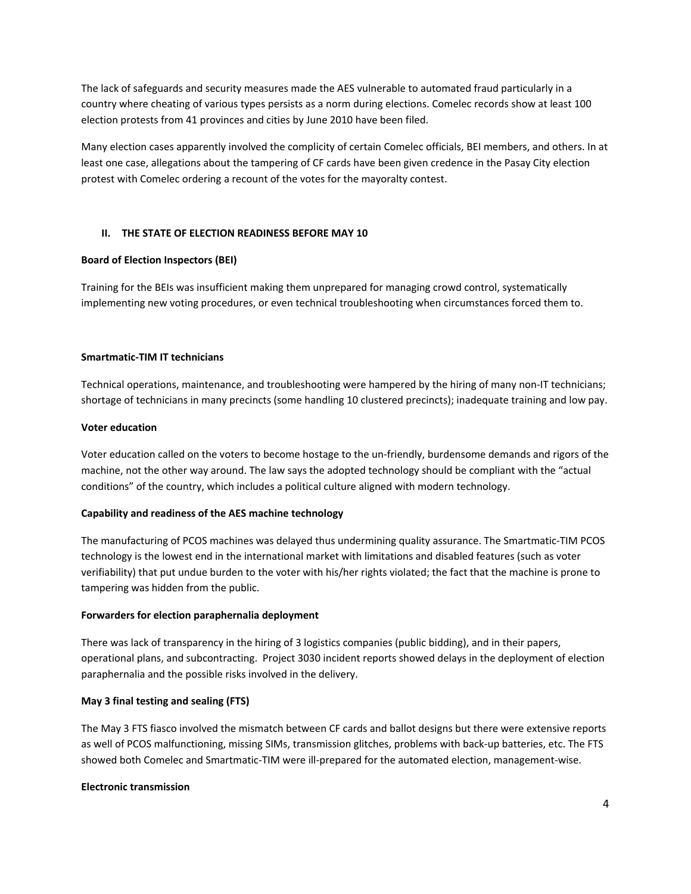The lack of safeguards and security measures made the AES vulnerable to automated fraud particularly in a country where cheating of various types persists as a norm during elections. Comelec records show at least 100 election protests from 41 provinces and cities by June 2010 have been filed.

Many election cases apparently involved the complicity of certain Comelec officials, BEI members, and others. In at least one case, allegations about the tampering of CF cards have been given credence in the Pasay City election protest with Comelec ordering a recount of the votes for the mayoralty contest.

### **II. THE STATE OF ELECTION READINESS BEFORE MAY 10**

#### **Board of Election Inspectors (BEI)**

Training for the BEIs was insufficient making them unprepared for managing crowd control, systematically implementing new voting procedures, or even technical troubleshooting when circumstances forced them to.

#### **Smartmatic‐TIM IT technicians**

Technical operations, maintenance, and troubleshooting were hampered by the hiring of many non‐IT technicians; shortage of technicians in many precincts (some handling 10 clustered precincts); inadequate training and low pay.

#### **Voter education**

Voter education called on the voters to become hostage to the un‐friendly, burdensome demands and rigors of the machine, not the other way around. The law says the adopted technology should be compliant with the "actual conditions" of the country, which includes a political culture aligned with modern technology.

### **Capability and readiness of the AES machine technology**

The manufacturing of PCOS machines was delayed thus undermining quality assurance. The Smartmatic‐TIM PCOS technology is the lowest end in the international market with limitations and disabled features (such as voter verifiability) that put undue burden to the voter with his/her rights violated; the fact that the machine is prone to tampering was hidden from the public.

#### **Forwarders for election paraphernalia deployment**

There was lack of transparency in the hiring of 3 logistics companies (public bidding), and in their papers, operational plans, and subcontracting. Project 3030 incident reports showed delays in the deployment of election paraphernalia and the possible risks involved in the delivery.

### **May 3 final testing and sealing (FTS)**

The May 3 FTS fiasco involved the mismatch between CF cards and ballot designs but there were extensive reports as well of PCOS malfunctioning, missing SIMs, transmission glitches, problems with back‐up batteries, etc. The FTS showed both Comelec and Smartmatic-TIM were ill-prepared for the automated election, management-wise.

#### **Electronic transmission**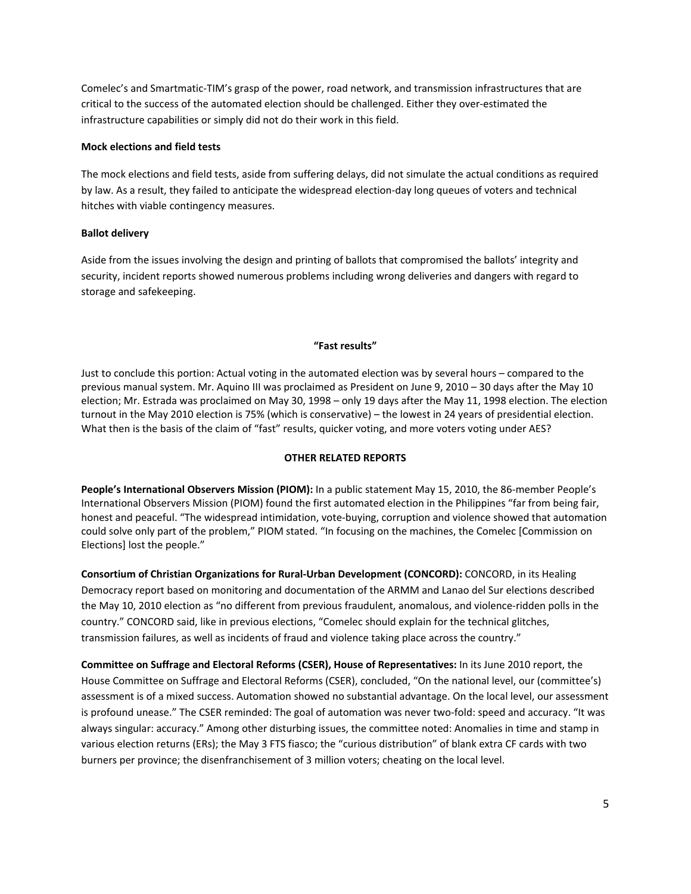Comelec's and Smartmatic‐TIM's grasp of the power, road network, and transmission infrastructures that are critical to the success of the automated election should be challenged. Either they over‐estimated the infrastructure capabilities or simply did not do their work in this field.

#### **Mock elections and field tests**

The mock elections and field tests, aside from suffering delays, did not simulate the actual conditions as required by law. As a result, they failed to anticipate the widespread election‐day long queues of voters and technical hitches with viable contingency measures.

### **Ballot delivery**

Aside from the issues involving the design and printing of ballots that compromised the ballots' integrity and security, incident reports showed numerous problems including wrong deliveries and dangers with regard to storage and safekeeping.

#### **"Fast results"**

Just to conclude this portion: Actual voting in the automated election was by several hours – compared to the previous manual system. Mr. Aquino III was proclaimed as President on June 9, 2010 – 30 days after the May 10 election; Mr. Estrada was proclaimed on May 30, 1998 – only 19 days after the May 11, 1998 election. The election turnout in the May 2010 election is 75% (which is conservative) – the lowest in 24 years of presidential election. What then is the basis of the claim of "fast" results, quicker voting, and more voters voting under AES?

### **OTHER RELATED REPORTS**

**People's International Observers Mission (PIOM):** In a public statement May 15, 2010, the 86‐member People's International Observers Mission (PIOM) found the first automated election in the Philippines "far from being fair, honest and peaceful. "The widespread intimidation, vote‐buying, corruption and violence showed that automation could solve only part of the problem," PIOM stated. "In focusing on the machines, the Comelec [Commission on Elections] lost the people."

**Consortium of Christian Organizations for Rural‐Urban Development (CONCORD):** CONCORD, in its Healing Democracy report based on monitoring and documentation of the ARMM and Lanao del Sur elections described the May 10, 2010 election as "no different from previous fraudulent, anomalous, and violence-ridden polls in the country." CONCORD said, like in previous elections, "Comelec should explain for the technical glitches, transmission failures, as well as incidents of fraud and violence taking place across the country."

**Committee on Suffrage and Electoral Reforms (CSER), House of Representatives:** In its June 2010 report, the House Committee on Suffrage and Electoral Reforms (CSER), concluded, "On the national level, our (committee's) assessment is of a mixed success. Automation showed no substantial advantage. On the local level, our assessment is profound unease." The CSER reminded: The goal of automation was never two-fold: speed and accuracy. "It was always singular: accuracy." Among other disturbing issues, the committee noted: Anomalies in time and stamp in various election returns (ERs); the May 3 FTS fiasco; the "curious distribution" of blank extra CF cards with two burners per province; the disenfranchisement of 3 million voters; cheating on the local level.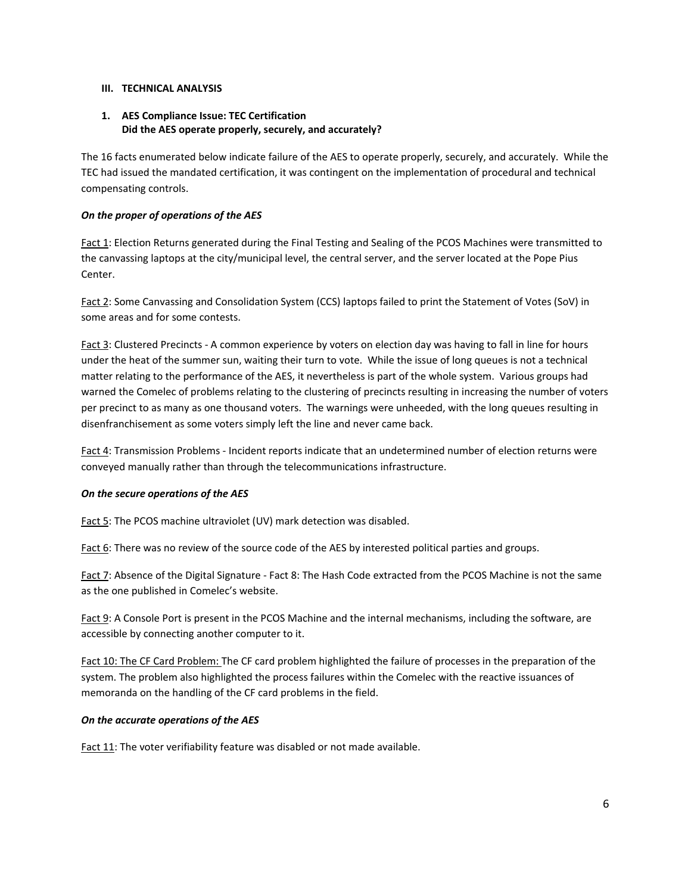#### **III. TECHNICAL ANALYSIS**

### **1. AES Compliance Issue: TEC Certification Did the AES operate properly, securely, and accurately?**

The 16 facts enumerated below indicate failure of the AES to operate properly, securely, and accurately. While the TEC had issued the mandated certification, it was contingent on the implementation of procedural and technical compensating controls.

### *On the proper of operations of the AES*

Fact 1: Election Returns generated during the Final Testing and Sealing of the PCOS Machines were transmitted to the canvassing laptops at the city/municipal level, the central server, and the server located at the Pope Pius Center.

Fact 2: Some Canvassing and Consolidation System (CCS) laptops failed to print the Statement of Votes (SoV) in some areas and for some contests.

Fact 3: Clustered Precincts - A common experience by voters on election day was having to fall in line for hours under the heat of the summer sun, waiting their turn to vote. While the issue of long queues is not a technical matter relating to the performance of the AES, it nevertheless is part of the whole system. Various groups had warned the Comelec of problems relating to the clustering of precincts resulting in increasing the number of voters per precinct to as many as one thousand voters. The warnings were unheeded, with the long queues resulting in disenfranchisement as some voters simply left the line and never came back.

Fact 4: Transmission Problems - Incident reports indicate that an undetermined number of election returns were conveyed manually rather than through the telecommunications infrastructure.

### *On the secure operations of the AES*

Fact 5: The PCOS machine ultraviolet (UV) mark detection was disabled.

Fact 6: There was no review of the source code of the AES by interested political parties and groups.

Fact 7: Absence of the Digital Signature - Fact 8: The Hash Code extracted from the PCOS Machine is not the same as the one published in Comelec's website.

Fact 9: A Console Port is present in the PCOS Machine and the internal mechanisms, including the software, are accessible by connecting another computer to it.

Fact 10: The CF Card Problem: The CF card problem highlighted the failure of processes in the preparation of the system. The problem also highlighted the process failures within the Comelec with the reactive issuances of memoranda on the handling of the CF card problems in the field.

### *On the accurate operations of the AES*

Fact 11: The voter verifiability feature was disabled or not made available.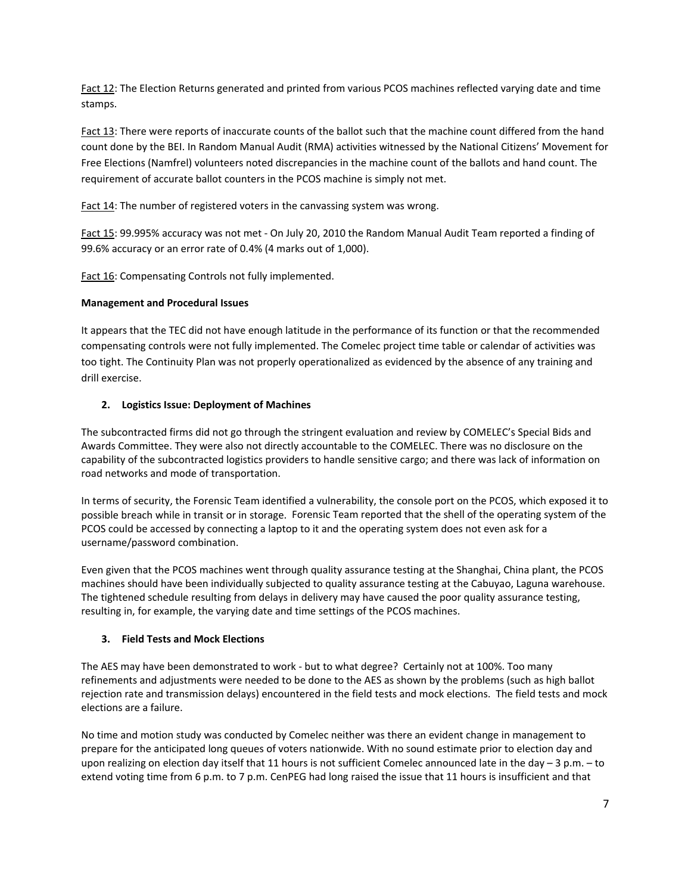Fact 12: The Election Returns generated and printed from various PCOS machines reflected varying date and time stamps.

Fact 13: There were reports of inaccurate counts of the ballot such that the machine count differed from the hand count done by the BEI. In Random Manual Audit (RMA) activities witnessed by the National Citizens' Movement for Free Elections (Namfrel) volunteers noted discrepancies in the machine count of the ballots and hand count. The requirement of accurate ballot counters in the PCOS machine is simply not met.

Fact 14: The number of registered voters in the canvassing system was wrong.

Fact 15: 99.995% accuracy was not met ‐ On July 20, 2010 the Random Manual Audit Team reported a finding of 99.6% accuracy or an error rate of 0.4% (4 marks out of 1,000).

Fact 16: Compensating Controls not fully implemented.

### **Management and Procedural Issues**

It appears that the TEC did not have enough latitude in the performance of its function or that the recommended compensating controls were not fully implemented. The Comelec project time table or calendar of activities was too tight. The Continuity Plan was not properly operationalized as evidenced by the absence of any training and drill exercise.

### **2. Logistics Issue: Deployment of Machines**

The subcontracted firms did not go through the stringent evaluation and review by COMELEC's Special Bids and Awards Committee. They were also not directly accountable to the COMELEC. There was no disclosure on the capability of the subcontracted logistics providers to handle sensitive cargo; and there was lack of information on road networks and mode of transportation.

In terms of security, the Forensic Team identified a vulnerability, the console port on the PCOS, which exposed it to possible breach while in transit or in storage. Forensic Team reported that the shell of the operating system of the PCOS could be accessed by connecting a laptop to it and the operating system does not even ask for a username/password combination.

Even given that the PCOS machines went through quality assurance testing at the Shanghai, China plant, the PCOS machines should have been individually subjected to quality assurance testing at the Cabuyao, Laguna warehouse. The tightened schedule resulting from delays in delivery may have caused the poor quality assurance testing, resulting in, for example, the varying date and time settings of the PCOS machines.

### **3. Field Tests and Mock Elections**

The AES may have been demonstrated to work ‐ but to what degree? Certainly not at 100%. Too many refinements and adjustments were needed to be done to the AES as shown by the problems (such as high ballot rejection rate and transmission delays) encountered in the field tests and mock elections. The field tests and mock elections are a failure.

No time and motion study was conducted by Comelec neither was there an evident change in management to prepare for the anticipated long queues of voters nationwide. With no sound estimate prior to election day and upon realizing on election day itself that 11 hours is not sufficient Comelec announced late in the day – 3 p.m. – to extend voting time from 6 p.m. to 7 p.m. CenPEG had long raised the issue that 11 hours is insufficient and that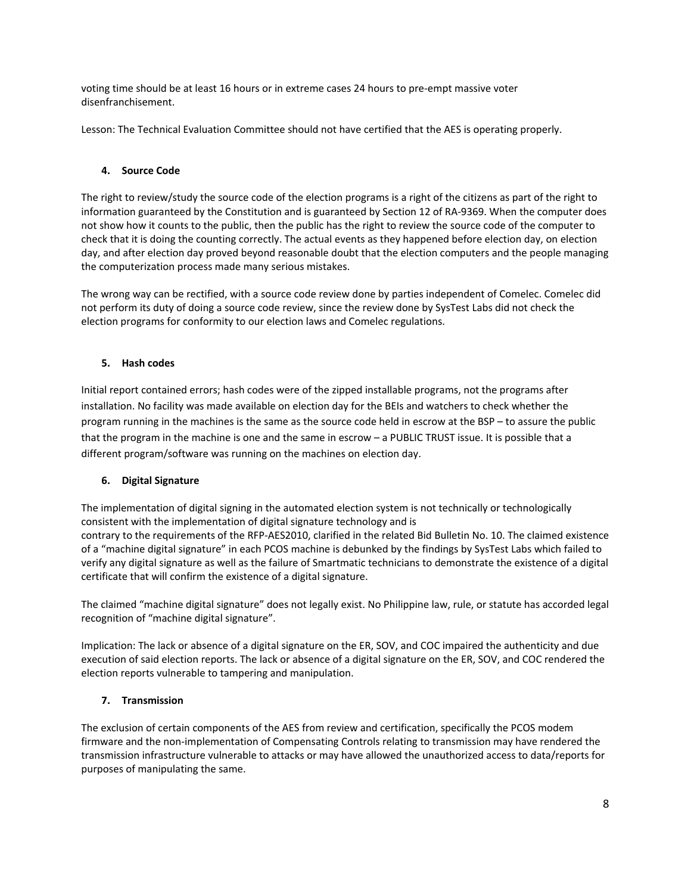voting time should be at least 16 hours or in extreme cases 24 hours to pre‐empt massive voter disenfranchisement.

Lesson: The Technical Evaluation Committee should not have certified that the AES is operating properly.

### **4. Source Code**

The right to review/study the source code of the election programs is a right of the citizens as part of the right to information guaranteed by the Constitution and is guaranteed by Section 12 of RA‐9369. When the computer does not show how it counts to the public, then the public has the right to review the source code of the computer to check that it is doing the counting correctly. The actual events as they happened before election day, on election day, and after election day proved beyond reasonable doubt that the election computers and the people managing the computerization process made many serious mistakes.

The wrong way can be rectified, with a source code review done by parties independent of Comelec. Comelec did not perform its duty of doing a source code review, since the review done by SysTest Labs did not check the election programs for conformity to our election laws and Comelec regulations.

### **5. Hash codes**

Initial report contained errors; hash codes were of the zipped installable programs, not the programs after installation. No facility was made available on election day for the BEIs and watchers to check whether the program running in the machines is the same as the source code held in escrow at the BSP – to assure the public that the program in the machine is one and the same in escrow – a PUBLIC TRUST issue. It is possible that a different program/software was running on the machines on election day.

### **6. Digital Signature**

The implementation of digital signing in the automated election system is not technically or technologically consistent with the implementation of digital signature technology and is contrary to the requirements of the RFP‐AES2010, clarified in the related Bid Bulletin No. 10. The claimed existence of a "machine digital signature" in each PCOS machine is debunked by the findings by SysTest Labs which failed to verify any digital signature as well as the failure of Smartmatic technicians to demonstrate the existence of a digital certificate that will confirm the existence of a digital signature.

The claimed "machine digital signature" does not legally exist. No Philippine law, rule, or statute has accorded legal recognition of "machine digital signature".

Implication: The lack or absence of a digital signature on the ER, SOV, and COC impaired the authenticity and due execution of said election reports. The lack or absence of a digital signature on the ER, SOV, and COC rendered the election reports vulnerable to tampering and manipulation.

### **7. Transmission**

The exclusion of certain components of the AES from review and certification, specifically the PCOS modem firmware and the non‐implementation of Compensating Controls relating to transmission may have rendered the transmission infrastructure vulnerable to attacks or may have allowed the unauthorized access to data/reports for purposes of manipulating the same.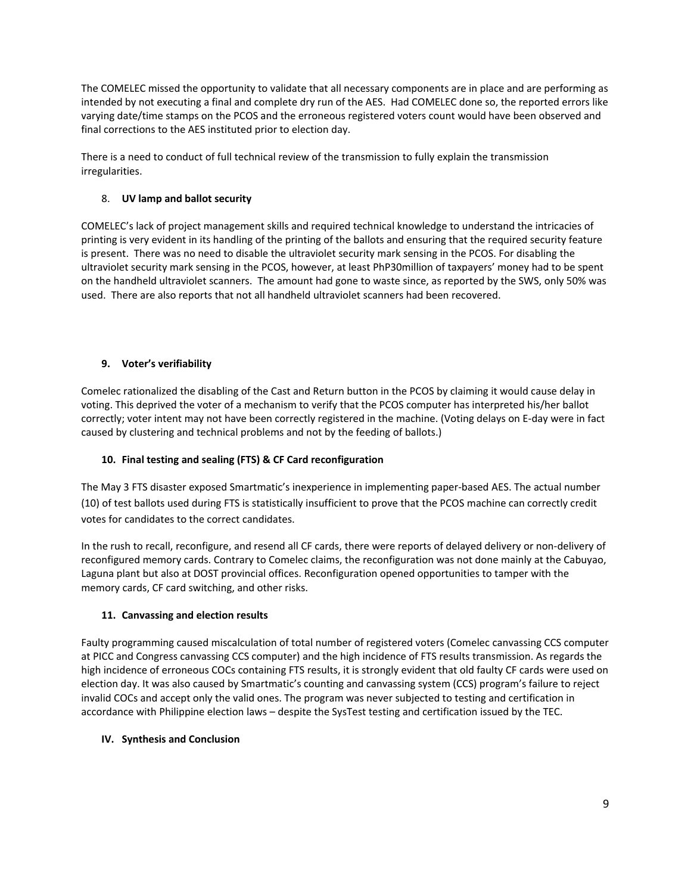The COMELEC missed the opportunity to validate that all necessary components are in place and are performing as intended by not executing a final and complete dry run of the AES. Had COMELEC done so, the reported errors like varying date/time stamps on the PCOS and the erroneous registered voters count would have been observed and final corrections to the AES instituted prior to election day.

There is a need to conduct of full technical review of the transmission to fully explain the transmission irregularities.

# 8. **UV lamp and ballot security**

COMELEC's lack of project management skills and required technical knowledge to understand the intricacies of printing is very evident in its handling of the printing of the ballots and ensuring that the required security feature is present. There was no need to disable the ultraviolet security mark sensing in the PCOS. For disabling the ultraviolet security mark sensing in the PCOS, however, at least PhP30million of taxpayers' money had to be spent on the handheld ultraviolet scanners. The amount had gone to waste since, as reported by the SWS, only 50% was used. There are also reports that not all handheld ultraviolet scanners had been recovered.

# **9. Voter's verifiability**

Comelec rationalized the disabling of the Cast and Return button in the PCOS by claiming it would cause delay in voting. This deprived the voter of a mechanism to verify that the PCOS computer has interpreted his/her ballot correctly; voter intent may not have been correctly registered in the machine. (Voting delays on E‐day were in fact caused by clustering and technical problems and not by the feeding of ballots.)

# **10. Final testing and sealing (FTS) & CF Card reconfiguration**

The May 3 FTS disaster exposed Smartmatic's inexperience in implementing paper‐based AES. The actual number (10) of test ballots used during FTS is statistically insufficient to prove that the PCOS machine can correctly credit votes for candidates to the correct candidates.

In the rush to recall, reconfigure, and resend all CF cards, there were reports of delayed delivery or non‐delivery of reconfigured memory cards. Contrary to Comelec claims, the reconfiguration was not done mainly at the Cabuyao, Laguna plant but also at DOST provincial offices. Reconfiguration opened opportunities to tamper with the memory cards, CF card switching, and other risks.

# **11. Canvassing and election results**

Faulty programming caused miscalculation of total number of registered voters (Comelec canvassing CCS computer at PICC and Congress canvassing CCS computer) and the high incidence of FTS results transmission. As regards the high incidence of erroneous COCs containing FTS results, it is strongly evident that old faulty CF cards were used on election day. It was also caused by Smartmatic's counting and canvassing system (CCS) program's failure to reject invalid COCs and accept only the valid ones. The program was never subjected to testing and certification in accordance with Philippine election laws – despite the SysTest testing and certification issued by the TEC.

# **IV. Synthesis and Conclusion**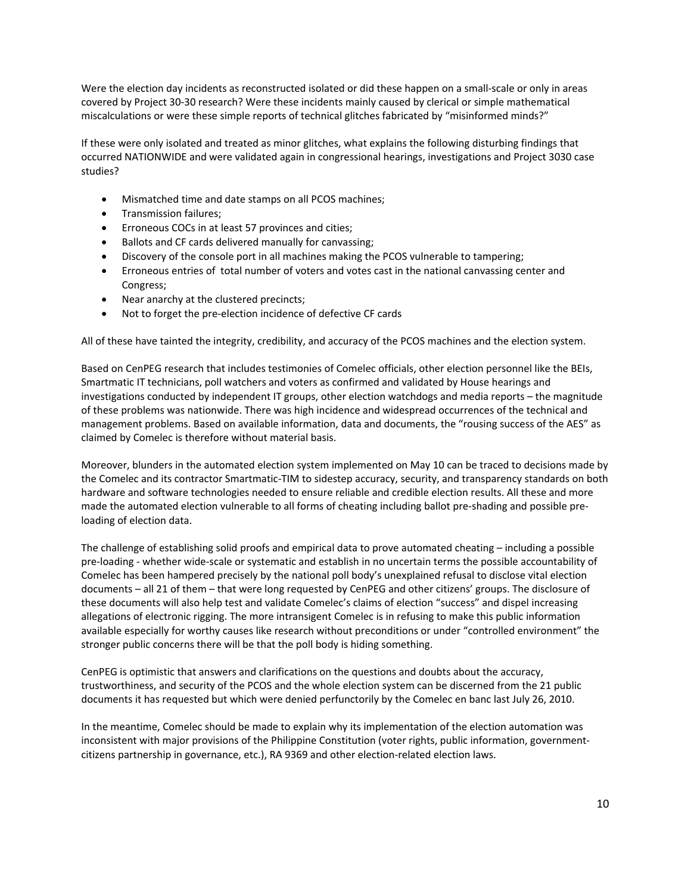Were the election day incidents as reconstructed isolated or did these happen on a small-scale or only in areas covered by Project 30‐30 research? Were these incidents mainly caused by clerical or simple mathematical miscalculations or were these simple reports of technical glitches fabricated by "misinformed minds?"

If these were only isolated and treated as minor glitches, what explains the following disturbing findings that occurred NATIONWIDE and were validated again in congressional hearings, investigations and Project 3030 case studies?

- Mismatched time and date stamps on all PCOS machines;
- Transmission failures;
- Erroneous COCs in at least 57 provinces and cities;
- Ballots and CF cards delivered manually for canvassing;
- Discovery of the console port in all machines making the PCOS vulnerable to tampering;
- Erroneous entries of total number of voters and votes cast in the national canvassing center and Congress;
- Near anarchy at the clustered precincts;
- Not to forget the pre‐election incidence of defective CF cards

All of these have tainted the integrity, credibility, and accuracy of the PCOS machines and the election system.

Based on CenPEG research that includes testimonies of Comelec officials, other election personnel like the BEIs, Smartmatic IT technicians, poll watchers and voters as confirmed and validated by House hearings and investigations conducted by independent IT groups, other election watchdogs and media reports – the magnitude of these problems was nationwide. There was high incidence and widespread occurrences of the technical and management problems. Based on available information, data and documents, the "rousing success of the AES" as claimed by Comelec is therefore without material basis.

Moreover, blunders in the automated election system implemented on May 10 can be traced to decisions made by the Comelec and its contractor Smartmatic‐TIM to sidestep accuracy, security, and transparency standards on both hardware and software technologies needed to ensure reliable and credible election results. All these and more made the automated election vulnerable to all forms of cheating including ballot pre‐shading and possible pre‐ loading of election data.

The challenge of establishing solid proofs and empirical data to prove automated cheating – including a possible pre‐loading ‐ whether wide‐scale or systematic and establish in no uncertain terms the possible accountability of Comelec has been hampered precisely by the national poll body's unexplained refusal to disclose vital election documents – all 21 of them – that were long requested by CenPEG and other citizens' groups. The disclosure of these documents will also help test and validate Comelec's claims of election "success" and dispel increasing allegations of electronic rigging. The more intransigent Comelec is in refusing to make this public information available especially for worthy causes like research without preconditions or under "controlled environment" the stronger public concerns there will be that the poll body is hiding something.

CenPEG is optimistic that answers and clarifications on the questions and doubts about the accuracy, trustworthiness, and security of the PCOS and the whole election system can be discerned from the 21 public documents it has requested but which were denied perfunctorily by the Comelec en banc last July 26, 2010.

In the meantime, Comelec should be made to explain why its implementation of the election automation was inconsistent with major provisions of the Philippine Constitution (voter rights, public information, governmentcitizens partnership in governance, etc.), RA 9369 and other election‐related election laws.